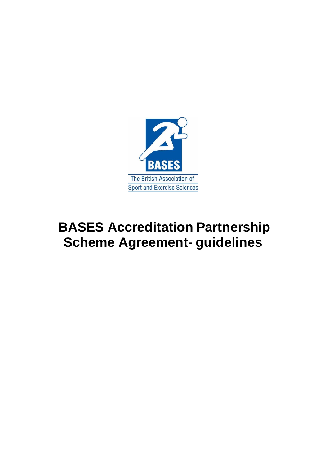

# **BASES Accreditation Partnership Scheme Agreement- guidelines**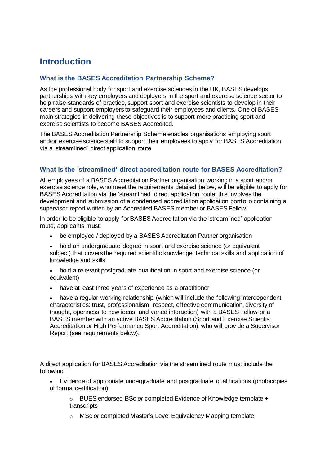## **Introduction**

### **What is the BASES Accreditation Partnership Scheme?**

As the professional body for sport and exercise sciences in the UK, BASES develops partnerships with key employers and deployers in the sport and exercise science sector to help raise standards of practice, support sport and exercise scientists to develop in their careers and support employers to safeguard their employees and clients. One of BASES main strategies in delivering these objectives is to support more practicing sport and exercise scientists to become BASES Accredited.

The BASES Accreditation Partnership Scheme enables organisations employing sport and/or exercise science staff to support their employees to apply for BASES Accreditation via a 'streamlined' direct application route.

#### **What is the 'streamlined' direct accreditation route for BASES Accreditation?**

All employees of a BASES Accreditation Partner organisation working in a sport and/or exercise science role, who meet the requirements detailed below, will be eligible to apply for BASES Accreditation via the 'streamlined' direct application route; this involves the development and submission of a condensed accreditation application portfolio containing a supervisor report written by an Accredited BASES member or BASES Fellow.

In order to be eligible to apply for BASES Accreditation via the 'streamlined' application route, applicants must:

- be employed / deployed by a BASES Accreditation Partner organisation
- hold an undergraduate degree in sport and exercise science (or equivalent subject) that covers the required scientific knowledge, technical skills and application of knowledge and skills
- hold a relevant postgraduate qualification in sport and exercise science (or equivalent)
- have at least three years of experience as a practitioner

have a regular working relationship (which will include the following interdependent characteristics: trust, professionalism, respect, effective communication, diversity of thought, openness to new ideas, and varied interaction) with a BASES Fellow or a BASES member with an active BASES Accreditation (Sport and Exercise Scientist Accreditation or High Performance Sport Accreditation), who will provide a Supervisor Report (see requirements below).

A direct application for BASES Accreditation via the streamlined route must include the following:

• Evidence of appropriate undergraduate and postgraduate qualifications (photocopies of formal certification):

o BUES endorsed BSc *or* completed Evidence of Knowledge template + transcripts

o MSc *or* completed Master's Level Equivalency Mapping template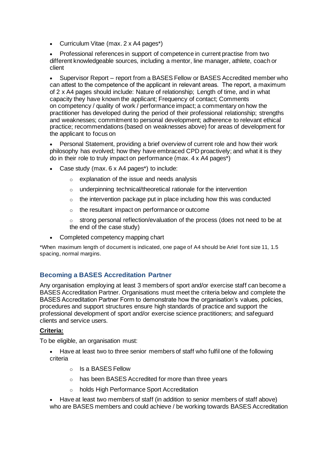• Curriculum Vitae (max. 2 x A4 pages\*)

• Professional references in support of competence in current practise from two different knowledgeable sources, including a mentor, line manager, athlete, coach or client

• Supervisor Report – report from a BASES Fellow or BASES Accredited member who can attest to the competence of the applicant in relevant areas.  The report, a maximum of 2 x A4 pages should include: Nature of relationship; Length of time, and in what capacity they have known the applicant; Frequency of contact; Comments on competency / quality of work / performance impact; a commentary on how the practitioner has developed during the period of their professional relationship; strengths and weaknesses; commitment to personal development; adherence to relevant ethical practice; recommendations (based on weaknesses above) for areas of development for the applicant to focus on

Personal Statement, providing a brief overview of current role and how their work philosophy has evolved; how they have embraced CPD proactively; and what it is they do in their role to truly impact on performance (max. 4 x A4 pages\*)

- Case study (max. 6 x A4 pages\*) to include:
	- o explanation of the issue and needs analysis
	- $\circ$  underpinning technical/theoretical rationale for the intervention
	- $\circ$  the intervention package put in place including how this was conducted
	- o the resultant impact on performance or outcome
	- $\circ$  strong personal reflection/evaluation of the process (does not need to be at the end of the case study)
- Completed competency mapping chart

\*When maximum length of document is indicated, one page of A4 should be Ariel font size 11, 1.5 spacing, normal margins.

#### **Becoming a BASES Accreditation Partner**

Any organisation employing at least 3 members of sport and/or exercise staff can become a BASES Accreditation Partner. Organisations must meet the criteria below and complete the BASES Accreditation Partner Form to demonstrate how the organisation's values, policies, procedures and support structures ensure high standards of practice and support the professional development of sport and/or exercise science practitioners; and safeguard clients and service users.

#### **Criteria:**

To be eligible, an organisation must:

- Have at least two to three senior members of staff who fulfil one of the following criteria
	- o Is a BASES Fellow
	- o has been BASES Accredited for more than three years
	- o holds High Performance Sport Accreditation
- Have at least two members of staff (in addition to senior members of staff above) who are BASES members and could achieve / be working towards BASES Accreditation